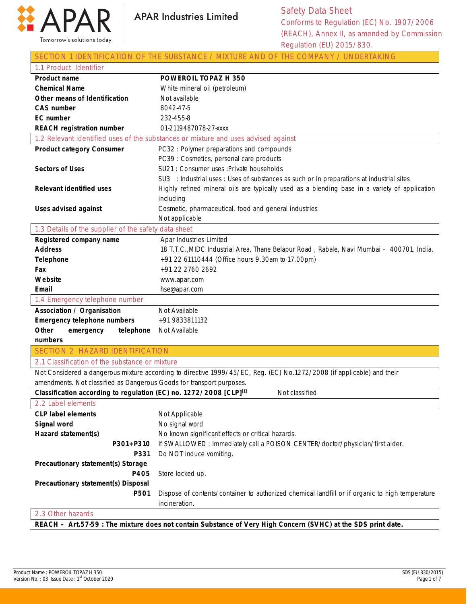

|  |  |  |  | SECTION 1 IDENTIFICATION OF THE SUBSTANCE / MIXTURE AND OF THE COMPANY / UNDERTAKING |
|--|--|--|--|--------------------------------------------------------------------------------------|
|--|--|--|--|--------------------------------------------------------------------------------------|

| 1.1 Product Identifier                                                |                                                                                                                        |
|-----------------------------------------------------------------------|------------------------------------------------------------------------------------------------------------------------|
| <b>Product name</b>                                                   | POWEROIL TOPAZ H 350                                                                                                   |
| <b>Chemical Name</b>                                                  | White mineral oil (petroleum)                                                                                          |
| Other means of Identification                                         | Not available                                                                                                          |
| <b>CAS number</b>                                                     | 8042-47-5                                                                                                              |
| <b>EC</b> number                                                      | 232-455-8                                                                                                              |
| <b>REACH registration number</b>                                      | 01-2119487078-27-xxxx                                                                                                  |
|                                                                       | 1.2 Relevant identified uses of the substances or mixture and uses advised against                                     |
| <b>Product category Consumer</b>                                      | PC32: Polymer preparations and compounds                                                                               |
|                                                                       | PC39 : Cosmetics, personal care products                                                                               |
| <b>Sectors of Uses</b>                                                | SU21 : Consumer uses : Private households                                                                              |
|                                                                       | SU3 : Industrial uses : Uses of substances as such or in preparations at industrial sites                              |
| <b>Relevant identified uses</b>                                       | Highly refined mineral oils are typically used as a blending base in a variety of application                          |
|                                                                       | including                                                                                                              |
| <b>Uses advised against</b>                                           | Cosmetic, pharmaceutical, food and general industries                                                                  |
|                                                                       | Not applicable                                                                                                         |
| 1.3 Details of the supplier of the safety data sheet                  |                                                                                                                        |
| Registered company name                                               | Apar Industries Limited                                                                                                |
| <b>Address</b>                                                        | 18 T.T.C., MIDC Industrial Area, Thane Belapur Road, Rabale, Navi Mumbai - 400701. India.                              |
| <b>Telephone</b>                                                      | +91 22 61110444 (Office hours 9.30am to 17.00pm)                                                                       |
| Fax                                                                   | +91 22 2760 2692                                                                                                       |
| Website                                                               | www.apar.com                                                                                                           |
| Email                                                                 | hse@apar.com                                                                                                           |
| 1.4 Emergency telephone number                                        |                                                                                                                        |
| <b>Association / Organisation</b>                                     | Not Available                                                                                                          |
| <b>Emergency telephone numbers</b>                                    | +91 9833811132                                                                                                         |
| Other<br>emergency<br>telephone                                       | Not Available                                                                                                          |
| numbers                                                               |                                                                                                                        |
| <b>SECTION 2 HAZARD IDENTIFICATION</b>                                |                                                                                                                        |
| 2.1 Classification of the substance or mixture                        |                                                                                                                        |
|                                                                       | Not Considered a dangerous mixture according to directive 1999/45/EC, Reg. (EC) No.1272/2008 (if applicable) and their |
| amendments. Not classified as Dangerous Goods for transport purposes. |                                                                                                                        |
| Classification according to regulation (EC) no. 1272/2008 [CLP][1]    | Not classified                                                                                                         |
| 2.2 Label elements                                                    |                                                                                                                        |
| <b>CLP label elements</b>                                             | Not Applicable                                                                                                         |
| Signal word                                                           | No signal word                                                                                                         |
| Hazard statement(s)                                                   | No known significant effects or critical hazards.                                                                      |
| P301+P310                                                             | If SWALLOWED: Immediately call a POISON CENTER/doctor/physician/first aider.                                           |
| P331                                                                  | Do NOT induce vomiting.                                                                                                |
| Precautionary statement(s) Storage                                    |                                                                                                                        |
| P405                                                                  | Store locked up.                                                                                                       |
| Precautionary statement(s) Disposal                                   |                                                                                                                        |
| P501                                                                  | Dispose of contents/container to authorized chemical landfill or if organic to high temperature                        |
|                                                                       | incineration.                                                                                                          |
| 2.3 Other hazards                                                     |                                                                                                                        |
|                                                                       | REACH - Art 57.59 · The mixture does not contain Substance of Very High Concern (SVHC) at the SDS print date           |

**REACH – Art.57-59 : The mixture does not contain Substance of Very High Concern (SVHC) at the SDS print date.**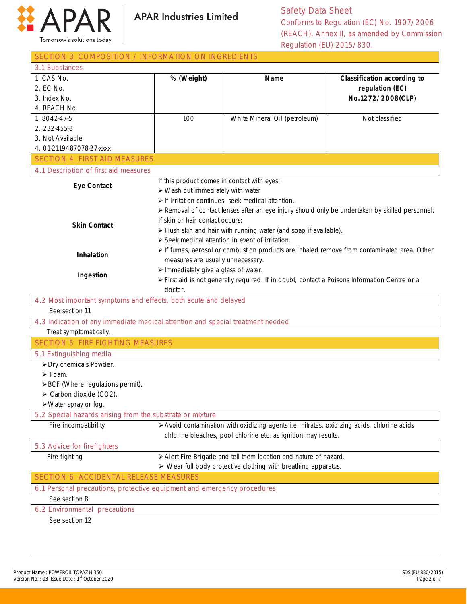

Safety Data Sheet Conforms to Regulation (EC) No. 1907/2006 (REACH), Annex II, as amended by Commission Regulation (EU) 2015/830.

| SECTION 3 COMPOSITION / INFORMATION ON INGREDIENTS                             |                                                     |                                                                                               |                                                                                                 |
|--------------------------------------------------------------------------------|-----------------------------------------------------|-----------------------------------------------------------------------------------------------|-------------------------------------------------------------------------------------------------|
| 3.1 Substances                                                                 |                                                     |                                                                                               |                                                                                                 |
| 1. CAS No.                                                                     | % (Weight)                                          | <b>Name</b>                                                                                   | <b>Classification according to</b>                                                              |
| 2. EC No.                                                                      |                                                     |                                                                                               | regulation (EC)                                                                                 |
| 3. Index No.                                                                   |                                                     |                                                                                               | No.1272/2008(CLP)                                                                               |
| 4. REACH No.                                                                   |                                                     |                                                                                               |                                                                                                 |
| 1.8042-47-5                                                                    | 100                                                 | White Mineral Oil (petroleum)                                                                 | Not classified                                                                                  |
| 2.232-455-8                                                                    |                                                     |                                                                                               |                                                                                                 |
| 3. Not Available                                                               |                                                     |                                                                                               |                                                                                                 |
| 4.01-2119487078-27-xxxx                                                        |                                                     |                                                                                               |                                                                                                 |
| <b>SECTION 4 FIRST AID MEASURES</b>                                            |                                                     |                                                                                               |                                                                                                 |
| 4.1 Description of first aid measures                                          |                                                     |                                                                                               |                                                                                                 |
|                                                                                | If this product comes in contact with eyes :        |                                                                                               |                                                                                                 |
| <b>Eye Contact</b>                                                             | $\triangleright$ Wash out immediately with water    |                                                                                               |                                                                                                 |
|                                                                                |                                                     | $\triangleright$ If irritation continues, seek medical attention.                             |                                                                                                 |
|                                                                                |                                                     |                                                                                               | ≻ Removal of contact lenses after an eye injury should only be undertaken by skilled personnel. |
|                                                                                | If skin or hair contact occurs:                     |                                                                                               |                                                                                                 |
| <b>Skin Contact</b>                                                            |                                                     | > Flush skin and hair with running water (and soap if available).                             |                                                                                                 |
|                                                                                |                                                     | > Seek medical attention in event of irritation.                                              |                                                                                                 |
|                                                                                |                                                     |                                                                                               | > If fumes, aerosol or combustion products are inhaled remove from contaminated area. Other     |
| Inhalation                                                                     | measures are usually unnecessary.                   |                                                                                               |                                                                                                 |
|                                                                                | $\triangleright$ Immediately give a glass of water. |                                                                                               |                                                                                                 |
| Ingestion                                                                      |                                                     | > First aid is not generally required. If in doubt, contact a Poisons Information Centre or a |                                                                                                 |
|                                                                                | doctor.                                             |                                                                                               |                                                                                                 |
| 4.2 Most important symptoms and effects, both acute and delayed                |                                                     |                                                                                               |                                                                                                 |
| See section 11                                                                 |                                                     |                                                                                               |                                                                                                 |
| 4.3 Indication of any immediate medical attention and special treatment needed |                                                     |                                                                                               |                                                                                                 |
| Treat symptomatically.                                                         |                                                     |                                                                                               |                                                                                                 |
| <b>SECTION 5 FIRE FIGHTING MEASURES</b>                                        |                                                     |                                                                                               |                                                                                                 |
| 5.1 Extinguishing media                                                        |                                                     |                                                                                               |                                                                                                 |
| > Dry chemicals Powder.                                                        |                                                     |                                                                                               |                                                                                                 |
| $\triangleright$ Foam.                                                         |                                                     |                                                                                               |                                                                                                 |
| >BCF (Where regulations permit).                                               |                                                     |                                                                                               |                                                                                                 |
| $\triangleright$ Carbon dioxide (CO2).                                         |                                                     |                                                                                               |                                                                                                 |
| $\triangleright$ Water spray or fog.                                           |                                                     |                                                                                               |                                                                                                 |
| 5.2 Special hazards arising from the substrate or mixture                      |                                                     |                                                                                               |                                                                                                 |
| Fire incompatibility                                                           |                                                     | > Avoid contamination with oxidizing agents i.e. nitrates, oxidizing acids, chlorine acids,   |                                                                                                 |
|                                                                                |                                                     | chlorine bleaches, pool chlorine etc. as ignition may results.                                |                                                                                                 |
| 5.3 Advice for firefighters                                                    |                                                     |                                                                                               |                                                                                                 |
| Fire fighting                                                                  |                                                     | > Alert Fire Brigade and tell them location and nature of hazard.                             |                                                                                                 |
|                                                                                |                                                     | $\triangleright$ Wear full body protective clothing with breathing apparatus.                 |                                                                                                 |
| <b>SECTION 6 ACCIDENTAL RELEASE MEASURES</b>                                   |                                                     |                                                                                               |                                                                                                 |
| 6.1 Personal precautions, protective equipment and emergency procedures        |                                                     |                                                                                               |                                                                                                 |
| See section 8                                                                  |                                                     |                                                                                               |                                                                                                 |
| 6.2 Environmental precautions                                                  |                                                     |                                                                                               |                                                                                                 |
| See section 12                                                                 |                                                     |                                                                                               |                                                                                                 |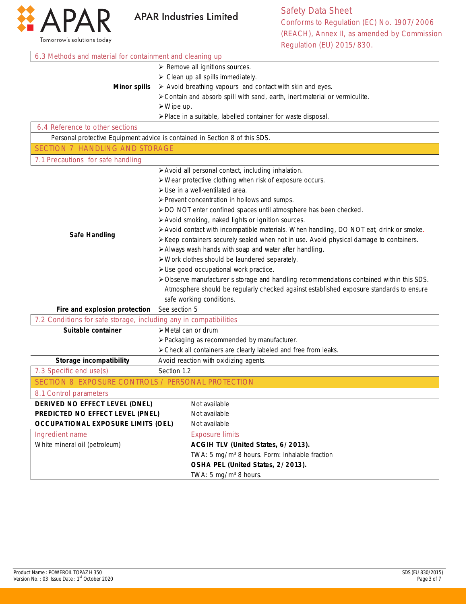

Safety Data Sheet Conforms to Regulation (EC) No. 1907/2006 (REACH), Annex II, as amended by Commission Regulation (EU) 2015/830. ٦

| 6.3 Methods and material for containment and cleaning up                    |                                                                                          |                                                                                         |
|-----------------------------------------------------------------------------|------------------------------------------------------------------------------------------|-----------------------------------------------------------------------------------------|
|                                                                             |                                                                                          | $\triangleright$ Remove all ignitions sources.                                          |
|                                                                             |                                                                                          | $\triangleright$ Clean up all spills immediately.                                       |
| <b>Minor spills</b>                                                         |                                                                                          | > Avoid breathing vapours and contact with skin and eyes.                               |
|                                                                             |                                                                                          | > Contain and absorb spill with sand, earth, inert material or vermiculite.             |
|                                                                             | $\triangleright$ Wipe up.                                                                |                                                                                         |
|                                                                             |                                                                                          | > Place in a suitable, labelled container for waste disposal.                           |
| 6.4 Reference to other sections                                             |                                                                                          |                                                                                         |
| Personal protective Equipment advice is contained in Section 8 of this SDS. |                                                                                          |                                                                                         |
| <b>SECTION 7 HANDLING AND STORAGE</b>                                       |                                                                                          |                                                                                         |
| 7.1 Precautions for safe handling                                           |                                                                                          |                                                                                         |
|                                                                             |                                                                                          | > Avoid all personal contact, including inhalation.                                     |
|                                                                             |                                                                                          | > Wear protective clothing when risk of exposure occurs.                                |
|                                                                             |                                                                                          | > Use in a well-ventilated area.                                                        |
|                                                                             |                                                                                          | > Prevent concentration in hollows and sumps.                                           |
|                                                                             |                                                                                          | > DO NOT enter confined spaces until atmosphere has been checked.                       |
|                                                                             |                                                                                          | > Avoid smoking, naked lights or ignition sources.                                      |
|                                                                             |                                                                                          | > Avoid contact with incompatible materials. When handling, DO NOT eat, drink or smoke. |
| <b>Safe Handling</b>                                                        |                                                                                          | > Keep containers securely sealed when not in use. Avoid physical damage to containers. |
|                                                                             | > Always wash hands with soap and water after handling.                                  |                                                                                         |
|                                                                             | > Work clothes should be laundered separately.                                           |                                                                                         |
|                                                                             |                                                                                          | > Use good occupational work practice.                                                  |
|                                                                             | > Observe manufacturer's storage and handling recommendations contained within this SDS. |                                                                                         |
|                                                                             |                                                                                          | Atmosphere should be regularly checked against established exposure standards to ensure |
|                                                                             |                                                                                          | safe working conditions.                                                                |
| Fire and explosion protection                                               | See section 5                                                                            |                                                                                         |
| 7.2 Conditions for safe storage, including any in compatibilities           |                                                                                          |                                                                                         |
| Suitable container                                                          | > Metal can or drum                                                                      |                                                                                         |
|                                                                             |                                                                                          | > Packaging as recommended by manufacturer.                                             |
|                                                                             |                                                                                          | > Check all containers are clearly labeled and free from leaks.                         |
| Storage incompatibility                                                     | Avoid reaction with oxidizing agents.                                                    |                                                                                         |
| 7.3 Specific end use(s)                                                     | Section 1.2                                                                              |                                                                                         |
| SECTION 8 EXPOSURE CONTROLS / PERSONAL PROTECTION                           |                                                                                          |                                                                                         |
| 8.1 Control parameters                                                      |                                                                                          |                                                                                         |
| DERIVED NO EFFECT LEVEL (DNEL)<br>Not available                             |                                                                                          |                                                                                         |
| PREDICTED NO EFFECT LEVEL (PNEL)<br>Not available                           |                                                                                          |                                                                                         |
| <b>OCCUPATIONAL EXPOSURE LIMITS (OEL)</b>                                   |                                                                                          | Not available                                                                           |
| Ingredient name                                                             |                                                                                          | <b>Exposure limits</b>                                                                  |
| White mineral oil (petroleum)                                               |                                                                                          | ACGIH TLV (United States, 6/2013).                                                      |
|                                                                             |                                                                                          | TWA: 5 mg/m <sup>3</sup> 8 hours. Form: Inhalable fraction                              |
|                                                                             |                                                                                          | OSHA PEL (United States, 2/2013).                                                       |
|                                                                             |                                                                                          | TWA: 5 mg/m <sup>3</sup> 8 hours.                                                       |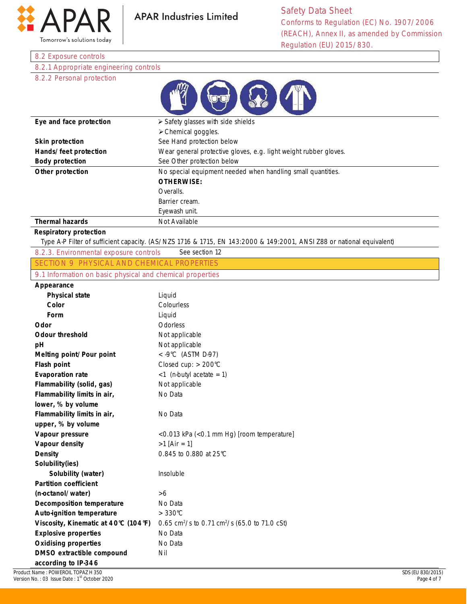

#### 8.2 Exposure controls

8.2.1 Appropriate engineering controls

### 8.2.2 Personal protection

| Eye and face protection | $\triangleright$ Safety glasses with side shields                |
|-------------------------|------------------------------------------------------------------|
|                         | $\triangleright$ Chemical goggles.                               |
| <b>Skin protection</b>  | See Hand protection below                                        |
| Hands/feet protection   | Wear general protective gloves, e.g. light weight rubber gloves. |
| <b>Body protection</b>  | See Other protection below                                       |
| Other protection        | No special equipment needed when handling small quantities.      |
|                         | <b>OTHERWISE:</b>                                                |
|                         | Overalls.                                                        |
|                         | Barrier cream.                                                   |
|                         | Eyewash unit.                                                    |
| <b>Thermal hazards</b>  | Not Available                                                    |

#### **Respiratory protection**

Type A-P Filter of sufficient capacity. (AS/NZS 1716 & 1715, EN 143:2000 & 149:2001, ANSI Z88 or national equivalent)

8.2.3. Environmental exposure controls See section 12 SECTION 9 PHYSICAL AND CHEMICAL PROPERTIES

9.1 Information on basic physical and chemical properties

#### **Appearance**

| Appeal allue                         |                                                                       |
|--------------------------------------|-----------------------------------------------------------------------|
| <b>Physical state</b>                | Liquid                                                                |
| Color                                | Colourless                                                            |
| Form                                 | Liquid                                                                |
| Odor                                 | Odorless                                                              |
| <b>Odour threshold</b>               | Not applicable                                                        |
| рH                                   | Not applicable                                                        |
| Melting point/Pour point             | < -9°C (ASTM D-97)                                                    |
| <b>Flash point</b>                   | Closed cup: > 200°C                                                   |
| <b>Evaporation rate</b>              | $<$ 1 (n-butyl acetate = 1)                                           |
| Flammability (solid, gas)            | Not applicable                                                        |
| Flammability limits in air,          | No Data                                                               |
| lower, % by volume                   |                                                                       |
| Flammability limits in air,          | No Data                                                               |
| upper, % by volume                   |                                                                       |
| Vapour pressure                      | <0.013 kPa (<0.1 mm Hg) [room temperature]                            |
| Vapour density                       | $>1$ [Air = 1]                                                        |
| <b>Density</b>                       | 0.845 to 0.880 at 25°C                                                |
| Solubility(ies)                      |                                                                       |
| Solubility (water)                   | Insoluble                                                             |
| <b>Partition coefficient</b>         |                                                                       |
| (n-octanol/water)                    | >6                                                                    |
| <b>Decomposition temperature</b>     | No Data                                                               |
| <b>Auto-ignition temperature</b>     | $>330^{\circ}$ C                                                      |
| Viscosity, Kinematic at 40°C (104°F) | 0.65 cm <sup>2</sup> /s to 0.71 cm <sup>2</sup> /s (65.0 to 71.0 cSt) |
| <b>Explosive properties</b>          | No Data                                                               |
| <b>Oxidising properties</b>          | No Data                                                               |
| DMSO extractible compound            | Nil                                                                   |
| according to IP-346                  |                                                                       |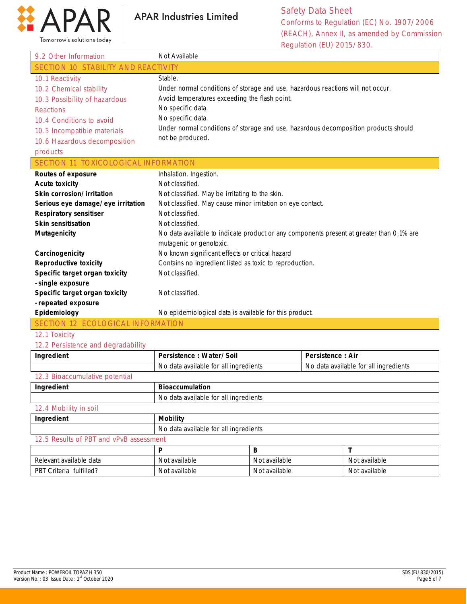

Safety Data Sheet Conforms to Regulation (EC) No. 1907/2006 (REACH), Annex II, as amended by Commission Regulation (EU) 2015/830.

| 9.2 Other Information                      | Not Available                                                                            |
|--------------------------------------------|------------------------------------------------------------------------------------------|
| <b>SECTION 10 STABILITY AND REACTIVITY</b> |                                                                                          |
| 10.1 Reactivity                            | Stable.                                                                                  |
| 10.2 Chemical stability                    | Under normal conditions of storage and use, hazardous reactions will not occur.          |
| 10.3 Possibility of hazardous              | Avoid temperatures exceeding the flash point.                                            |
| <b>Reactions</b>                           | No specific data.                                                                        |
| 10.4 Conditions to avoid                   | No specific data.                                                                        |
| 10.5 Incompatible materials                | Under normal conditions of storage and use, hazardous decomposition products should      |
| 10.6 Hazardous decomposition               | not be produced.                                                                         |
| products                                   |                                                                                          |
| SECTION 11 TOXICOLOGICAL INFORMATION       |                                                                                          |
| <b>Routes of exposure</b>                  | Inhalation. Ingestion.                                                                   |
| <b>Acute toxicity</b>                      | Not classified.                                                                          |
| Skin corrosion/irritation                  | Not classified. May be irritating to the skin.                                           |
| Serious eye damage/eye irritation          | Not classified. May cause minor irritation on eye contact.                               |
| <b>Respiratory sensitiser</b>              | Not classified.                                                                          |
| <b>Skin sensitisation</b>                  | Not classified.                                                                          |
| <b>Mutagenicity</b>                        | No data available to indicate product or any components present at greater than 0.1% are |
|                                            | mutagenic or genotoxic.                                                                  |
| Carcinogenicity                            | No known significant effects or critical hazard                                          |
| <b>Reproductive toxicity</b>               | Contains no ingredient listed as toxic to reproduction.                                  |
| Specific target organ toxicity             | Not classified.                                                                          |
| - single exposure                          |                                                                                          |
| Specific target organ toxicity             | Not classified.                                                                          |
| - repeated exposure                        |                                                                                          |
| Epidemiology                               | No epidemiological data is available for this product.                                   |
| SECTION 12 ECOLOGICAL INFORMATION          |                                                                                          |

#### 12.1 Toxicity

#### 12.2 Persistence and degradability

| Ingredient                              | Persistence: Water/Soil               | Persistence: Air                      |
|-----------------------------------------|---------------------------------------|---------------------------------------|
|                                         | No data available for all ingredients | No data available for all ingredients |
| 12.3 Bioaccumulative potential          |                                       |                                       |
| Ingredient                              | <b>Bioaccumulation</b>                |                                       |
|                                         | No data available for all ingredients |                                       |
| 12.4 Mobility in soil                   |                                       |                                       |
| Ingredient                              | <b>Mobility</b>                       |                                       |
|                                         | No data available for all ingredients |                                       |
| 12.5 Results of PBT and vPvB assessment |                                       |                                       |
|                                         |                                       |                                       |

| Relevant available data              | t available<br>Not | Not available | Not available |
|--------------------------------------|--------------------|---------------|---------------|
| fulfilled?<br><b>PBT</b><br>Criteria | Not available      | Not available | Not available |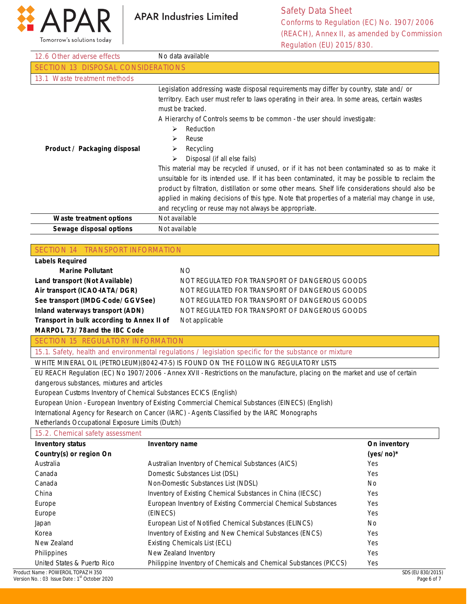

Safety Data Sheet Conforms to Regulation (EC) No. 1907/2006 (REACH), Annex II, as amended by Commission Regulation (EU) 2015/830.

|                                                                   | Regulation (EU) 2015/830.                                                                                                      |              |
|-------------------------------------------------------------------|--------------------------------------------------------------------------------------------------------------------------------|--------------|
| 12.6 Other adverse effects                                        | No data available                                                                                                              |              |
| <b>SECTION 13 DISPOSAL CONSIDERATIONS</b>                         |                                                                                                                                |              |
| 13.1 Waste treatment methods                                      |                                                                                                                                |              |
|                                                                   | Legislation addressing waste disposal requirements may differ by country, state and/ or                                        |              |
|                                                                   | territory. Each user must refer to laws operating in their area. In some areas, certain wastes                                 |              |
|                                                                   | must be tracked.                                                                                                               |              |
|                                                                   | A Hierarchy of Controls seems to be common - the user should investigate:                                                      |              |
|                                                                   | Reduction<br>⋗                                                                                                                 |              |
|                                                                   | Reuse<br>⋗                                                                                                                     |              |
| Product / Packaging disposal                                      | Recycling<br>➤                                                                                                                 |              |
|                                                                   | Disposal (if all else fails)<br>⋗                                                                                              |              |
|                                                                   | This material may be recycled if unused, or if it has not been contaminated so as to make it                                   |              |
|                                                                   | unsuitable for its intended use. If it has been contaminated, it may be possible to reclaim the                                |              |
|                                                                   | product by filtration, distillation or some other means. Shelf life considerations should also be                              |              |
|                                                                   | applied in making decisions of this type. Note that properties of a material may change in use,                                |              |
|                                                                   | and recycling or reuse may not always be appropriate.                                                                          |              |
| Waste treatment options                                           | Not available                                                                                                                  |              |
| Sewage disposal options                                           | Not available                                                                                                                  |              |
|                                                                   |                                                                                                                                |              |
| SECTION 14 TRANSPORT INFORMATION                                  |                                                                                                                                |              |
| <b>Labels Required</b>                                            |                                                                                                                                |              |
| <b>Marine Pollutant</b>                                           | <b>NO</b>                                                                                                                      |              |
| Land transport (Not Available)                                    | NOT REGULATED FOR TRANSPORT OF DANGEROUS GOODS                                                                                 |              |
| Air transport (ICAO-IATA/DGR)                                     | NOT REGULATED FOR TRANSPORT OF DANGEROUS GOODS                                                                                 |              |
| See transport (IMDG-Code/GGVSee)                                  | NOT REGULATED FOR TRANSPORT OF DANGEROUS GOODS                                                                                 |              |
| Inland waterways transport (ADN)                                  | NOT REGULATED FOR TRANSPORT OF DANGEROUS GOODS                                                                                 |              |
| Transport in bulk according to Annex II of                        | Not applicable                                                                                                                 |              |
| MARPOL 73/78and the IBC Code                                      |                                                                                                                                |              |
| <b>SECTION 15 REGULATORY INFORMATION</b>                          |                                                                                                                                |              |
|                                                                   | 15.1. Safety, health and environmental regulations / legislation specific for the substance or mixture                         |              |
|                                                                   | WHITE MINERAL OIL (PETROLEUM)(8042-47-5) IS FOUND ON THE FOLLOWING REGULATORY LISTS                                            |              |
|                                                                   | EU REACH Regulation (EC) No 1907/2006 - Annex XVII - Restrictions on the manufacture, placing on the market and use of certain |              |
| dangerous substances, mixtures and articles                       |                                                                                                                                |              |
| European Customs Inventory of Chemical Substances ECICS (English) |                                                                                                                                |              |
|                                                                   | European Union - European Inventory of Existing Commercial Chemical Substances (EINECS) (English)                              |              |
|                                                                   | International Agency for Research on Cancer (IARC) - Agents Classified by the IARC Monographs                                  |              |
| Netherlands Occupational Exposure Limits (Dutch)                  |                                                                                                                                |              |
| 15.2. Chemical safety assessment                                  |                                                                                                                                |              |
| <b>Inventory status</b>                                           | Inventory name                                                                                                                 | On inventory |
| Country(s) or region On                                           |                                                                                                                                | $(yes/no)*$  |
| Australia                                                         | Australian Inventory of Chemical Substances (AICS)                                                                             | Yes          |

Domestic Substances List (DSL) Non-Domestic Substances List (NDSL)

Existing Chemicals List (ECL) New Zealand Inventory

(EINECS)

Inventory of Existing Chemical Substances in China (IECSC) European Inventory of Existing Commercial Chemical Substances

European List of Notified Chemical Substances (ELINCS) Inventory of Existing and New Chemical Substances (ENCS)

Philippine Inventory of Chemicals and Chemical Substances (PICCS)

United States & Puerto Rico

Canada Canada China Europe Europe Japan Korea New Zealand Philippines

Yes No Yes Yes Yes No Yes Yes Yes Yes